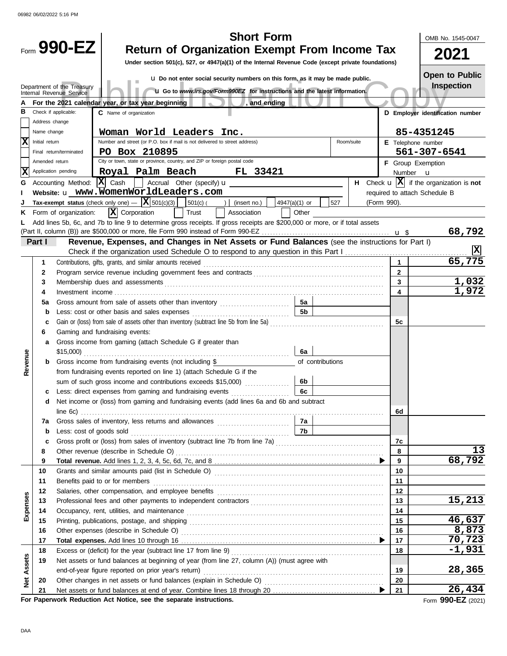|                                                                                                               | OMB No. 1545-0047 |                         |                                                                                                                                                                                                                                      |             |                         |                                                                       |  |  |
|---------------------------------------------------------------------------------------------------------------|-------------------|-------------------------|--------------------------------------------------------------------------------------------------------------------------------------------------------------------------------------------------------------------------------------|-------------|-------------------------|-----------------------------------------------------------------------|--|--|
|                                                                                                               |                   | Form 990-EZ             | <b>Return of Organization Exempt From Income Tax</b>                                                                                                                                                                                 |             |                         |                                                                       |  |  |
|                                                                                                               |                   |                         | Under section 501(c), 527, or 4947(a)(1) of the Internal Revenue Code (except private foundations)                                                                                                                                   |             |                         | 2021                                                                  |  |  |
|                                                                                                               |                   |                         | u Do not enter social security numbers on this form, as it may be made public.                                                                                                                                                       |             |                         | <b>Open to Public</b>                                                 |  |  |
| Inspection<br>Department of the Treasury                                                                      |                   |                         |                                                                                                                                                                                                                                      |             |                         |                                                                       |  |  |
| <b>u</b> Go to www.irs.gov/Form990EZ for instructions and the latest information.<br>Internal Revenue Service |                   |                         |                                                                                                                                                                                                                                      |             |                         |                                                                       |  |  |
|                                                                                                               |                   |                         | For the 2021 calendar year, or tax year beginning<br>, and ending                                                                                                                                                                    |             |                         |                                                                       |  |  |
| в                                                                                                             | Address change    | Check if applicable:    | C Name of organization                                                                                                                                                                                                               |             |                         | D Employer identification number                                      |  |  |
|                                                                                                               | Name change       |                         | Woman World Leaders Inc.                                                                                                                                                                                                             |             |                         | 85-4351245                                                            |  |  |
| X                                                                                                             | Initial return    |                         | Number and street (or P.O. box if mail is not delivered to street address)<br>Room/suite                                                                                                                                             |             |                         | E Telephone number                                                    |  |  |
|                                                                                                               |                   | Final return/terminated | PO Box 210895                                                                                                                                                                                                                        |             |                         | 561-307-6541                                                          |  |  |
|                                                                                                               | Amended return    |                         | City or town, state or province, country, and ZIP or foreign postal code                                                                                                                                                             |             |                         | F Group Exemption                                                     |  |  |
| X                                                                                                             |                   | Application pending     | Royal Palm Beach<br><b>FL 33421</b>                                                                                                                                                                                                  |             |                         | Number <b>u</b>                                                       |  |  |
| G                                                                                                             |                   |                         | Accounting Method: $\boxed{\mathbf{X}}$ Cash $\boxed{\phantom{a}}$ Accrual Other (specify) $\mathbf{u}$                                                                                                                              |             |                         | <b>H</b> Check $\mathbf{u}$ $ \mathbf{X} $ if the organization is not |  |  |
|                                                                                                               |                   |                         |                                                                                                                                                                                                                                      |             |                         | required to attach Schedule B                                         |  |  |
|                                                                                                               |                   |                         | Tax-exempt status (check only one) $ \mathbf{X}$ 501(c)(3)<br>527<br>501(c)(<br>) $ $ (insert no.)<br>4947(a)(1) or                                                                                                                  | (Form 990). |                         |                                                                       |  |  |
|                                                                                                               |                   | Form of organization:   | $ \mathbf{X} $ Corporation<br>Trust<br>Association<br>Other                                                                                                                                                                          |             |                         |                                                                       |  |  |
|                                                                                                               |                   |                         | Add lines 5b, 6c, and 7b to line 9 to determine gross receipts. If gross receipts are \$200,000 or more, or if total assets                                                                                                          |             |                         |                                                                       |  |  |
|                                                                                                               |                   |                         |                                                                                                                                                                                                                                      |             |                         | 68,792                                                                |  |  |
|                                                                                                               | Part I            |                         | Revenue, Expenses, and Changes in Net Assets or Fund Balances (see the instructions for Part I)                                                                                                                                      |             |                         | X                                                                     |  |  |
|                                                                                                               |                   |                         |                                                                                                                                                                                                                                      |             | $\mathbf{1}$            | 65,775                                                                |  |  |
|                                                                                                               | 1<br>2            |                         |                                                                                                                                                                                                                                      |             | $\mathbf{2}$            |                                                                       |  |  |
|                                                                                                               | 3                 |                         |                                                                                                                                                                                                                                      |             | $\mathbf{3}$            | <u>1,032</u>                                                          |  |  |
|                                                                                                               | 4                 |                         | Membership dues and assessments <b>contained a state of the state of a state of a state of a state of a state of a state of a state of a state of a state of a state of a state of a state of a state of a state of a state of a</b> |             | $\overline{\mathbf{4}}$ | 1,972                                                                 |  |  |
|                                                                                                               | 5a                |                         | 5а<br>Gross amount from sale of assets other than inventory                                                                                                                                                                          |             |                         |                                                                       |  |  |
|                                                                                                               | b                 |                         | 5 <sub>b</sub>                                                                                                                                                                                                                       |             |                         |                                                                       |  |  |
|                                                                                                               | c                 |                         | Gain or (loss) from sale of assets other than inventory (subtract line 5b from line 5a) [11] (1983) [11] (1983)                                                                                                                      |             | 5c                      |                                                                       |  |  |
|                                                                                                               | 6                 |                         | Gaming and fundraising events:                                                                                                                                                                                                       |             |                         |                                                                       |  |  |
|                                                                                                               | а                 |                         | Gross income from gaming (attach Schedule G if greater than                                                                                                                                                                          |             |                         |                                                                       |  |  |
|                                                                                                               |                   |                         | 6a                                                                                                                                                                                                                                   |             |                         |                                                                       |  |  |
| Revenue                                                                                                       | b                 |                         | Gross income from fundraising events (not including \$<br>of contributions                                                                                                                                                           |             |                         |                                                                       |  |  |
|                                                                                                               |                   |                         | from fundraising events reported on line 1) (attach Schedule G if the                                                                                                                                                                |             |                         |                                                                       |  |  |
|                                                                                                               |                   |                         | sum of such gross income and contributions exceeds \$15,000)<br>6b                                                                                                                                                                   |             |                         |                                                                       |  |  |
|                                                                                                               |                   |                         | 6c<br>Less: direct expenses from gaming and fundraising events                                                                                                                                                                       |             |                         |                                                                       |  |  |
|                                                                                                               |                   |                         | Net income or (loss) from gaming and fundraising events (add lines 6a and 6b and subtract                                                                                                                                            |             |                         |                                                                       |  |  |
|                                                                                                               |                   |                         |                                                                                                                                                                                                                                      |             | 6d                      |                                                                       |  |  |
|                                                                                                               | 7a                |                         | 7b                                                                                                                                                                                                                                   |             |                         |                                                                       |  |  |
|                                                                                                               | b<br>c            |                         |                                                                                                                                                                                                                                      |             | 7c                      |                                                                       |  |  |
|                                                                                                               | 8                 |                         |                                                                                                                                                                                                                                      |             | 8                       | 13                                                                    |  |  |
|                                                                                                               | 9                 |                         |                                                                                                                                                                                                                                      |             | 9                       | 68,792                                                                |  |  |
|                                                                                                               | 10                |                         |                                                                                                                                                                                                                                      |             | 10                      |                                                                       |  |  |
|                                                                                                               | 11                |                         | Benefits paid to or for members                                                                                                                                                                                                      |             | 11                      |                                                                       |  |  |
|                                                                                                               | 12                |                         |                                                                                                                                                                                                                                      |             | 12                      |                                                                       |  |  |
|                                                                                                               | 13                |                         |                                                                                                                                                                                                                                      |             | 13                      | 15,213                                                                |  |  |
| Expenses                                                                                                      | 14                |                         |                                                                                                                                                                                                                                      |             | 14                      |                                                                       |  |  |
|                                                                                                               | 15                |                         |                                                                                                                                                                                                                                      |             | 15                      | 46,637                                                                |  |  |
|                                                                                                               | 16                |                         |                                                                                                                                                                                                                                      |             | 16                      | 8,873                                                                 |  |  |
|                                                                                                               | 17                |                         |                                                                                                                                                                                                                                      |             | 17                      | 70,723                                                                |  |  |
|                                                                                                               | 18                |                         |                                                                                                                                                                                                                                      |             | 18                      | $-1,931$                                                              |  |  |
|                                                                                                               | 19                |                         | Net assets or fund balances at beginning of year (from line 27, column (A)) (must agree with                                                                                                                                         |             |                         | 28,365                                                                |  |  |
| <b>Net Assets</b>                                                                                             |                   |                         | end-of-year figure reported on prior year's return)                                                                                                                                                                                  |             | 19<br>20                |                                                                       |  |  |
|                                                                                                               | 20<br>21          |                         |                                                                                                                                                                                                                                      |             | 21                      | 26,434                                                                |  |  |
|                                                                                                               |                   |                         | For Paperwork Reduction Act Notice, see the separate instructions.                                                                                                                                                                   |             |                         | Form 990-EZ (2021)                                                    |  |  |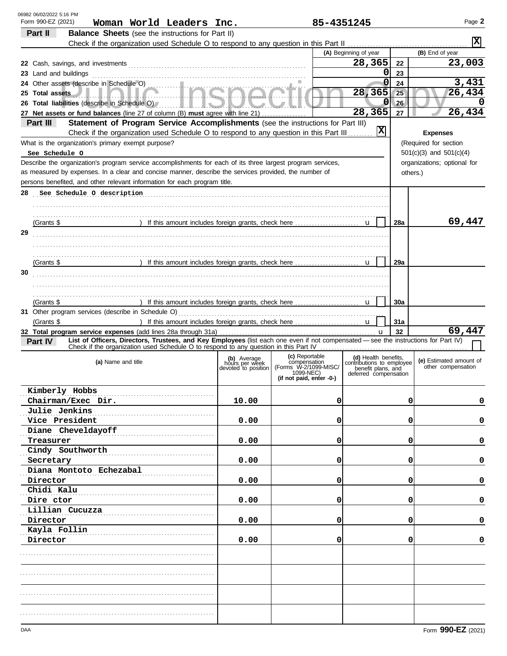| 06982 06/02/2022 5:16 PM<br>Form 990-EZ (2021)<br>Woman World Leaders Inc.                                                                     |                               | 85-4351245                            |                                                   |            | Page 2                      |
|------------------------------------------------------------------------------------------------------------------------------------------------|-------------------------------|---------------------------------------|---------------------------------------------------|------------|-----------------------------|
| Part II<br><b>Balance Sheets</b> (see the instructions for Part II)                                                                            |                               |                                       |                                                   |            |                             |
| Check if the organization used Schedule O to respond to any question in this Part II                                                           |                               |                                       |                                                   |            | $\overline{\mathbf{x}}$     |
|                                                                                                                                                |                               |                                       | (A) Beginning of year                             |            | (B) End of year             |
|                                                                                                                                                |                               |                                       | 28,365                                            | 22         | 23,003                      |
| 23 Land and buildings                                                                                                                          |                               |                                       | 0                                                 | 23         |                             |
| 24 Other assets (describe in Schedule O)                                                                                                       |                               |                                       | 0                                                 | 24         | 3,431                       |
| 25 Total assets                                                                                                                                |                               |                                       | 28,365                                            | 25         | 26,434                      |
| 26 Total liabilities (describe in Schedule O)                                                                                                  |                               |                                       | 0                                                 | 26         | 0                           |
| <b>LETTE</b>                                                                                                                                   |                               |                                       | 28,365                                            | 27         | 26,434                      |
| 27 Net assets or fund balances (line 27 of column (B) must agree with line 21)<br>Part III                                                     |                               |                                       |                                                   |            |                             |
| Statement of Program Service Accomplishments (see the instructions for Part III)                                                               |                               |                                       | 図                                                 |            |                             |
| Check if the organization used Schedule O to respond to any question in this Part III                                                          |                               |                                       |                                                   |            | <b>Expenses</b>             |
| What is the organization's primary exempt purpose?                                                                                             |                               |                                       |                                                   |            | (Required for section       |
| See Schedule O                                                                                                                                 |                               |                                       |                                                   |            | $501(c)(3)$ and $501(c)(4)$ |
| Describe the organization's program service accomplishments for each of its three largest program services,                                    |                               |                                       |                                                   |            | organizations; optional for |
| as measured by expenses. In a clear and concise manner, describe the services provided, the number of                                          |                               |                                       |                                                   |            | others.)                    |
| persons benefited, and other relevant information for each program title.                                                                      |                               |                                       |                                                   |            |                             |
| See Schedule O description<br>28                                                                                                               |                               |                                       |                                                   |            |                             |
|                                                                                                                                                |                               |                                       |                                                   |            |                             |
|                                                                                                                                                |                               |                                       |                                                   |            |                             |
| (Grants \$                                                                                                                                     |                               |                                       |                                                   | 28a        | 69,447                      |
| 29                                                                                                                                             |                               |                                       |                                                   |            |                             |
|                                                                                                                                                |                               |                                       |                                                   |            |                             |
|                                                                                                                                                |                               |                                       |                                                   |            |                             |
|                                                                                                                                                |                               |                                       |                                                   |            |                             |
| (Grants \$                                                                                                                                     |                               |                                       |                                                   | 29a        |                             |
| 30                                                                                                                                             |                               |                                       |                                                   |            |                             |
|                                                                                                                                                |                               |                                       |                                                   |            |                             |
|                                                                                                                                                |                               |                                       |                                                   |            |                             |
| (Grants \$<br>) If this amount includes foreign grants, check here                                                                             |                               |                                       |                                                   | <b>30a</b> |                             |
| 31 Other program services (describe in Schedule O)                                                                                             |                               |                                       |                                                   |            |                             |
| (Grants \$<br>) If this amount includes foreign grants, check here                                                                             |                               |                                       | $\mathbf{u}$                                      | 31a        |                             |
| 32 Total program service expenses (add lines 28a through 31a)                                                                                  |                               |                                       | u                                                 | 32         | 69,447                      |
| List of Officers, Directors, Trustees, and Key Employees (list each one even if not compensated - see the instructions for Part IV)<br>Part IV |                               |                                       |                                                   |            |                             |
| Check if the organization used Schedule O to respond to any question in this Part IV                                                           |                               |                                       |                                                   |            |                             |
|                                                                                                                                                | (b) Average<br>hours per week | (c) Reportable<br>compensation        | (d) Health benefits,<br>contributions to employee |            | (e) Estimated amount of     |
| (a) Name and title                                                                                                                             | devoted to position           | (Forms W-2/1099-MISC/                 | benefit plans, and                                |            | other compensation          |
|                                                                                                                                                |                               | 1099-NEC)<br>(if not paid, enter -0-) | deferred compensation                             |            |                             |
|                                                                                                                                                |                               |                                       |                                                   |            |                             |
| Kimberly Hobbs                                                                                                                                 |                               |                                       |                                                   |            |                             |
| Chairman/Exec Dir.                                                                                                                             | 10.00                         | 0                                     |                                                   | 0          | 0                           |
| Julie Jenkins                                                                                                                                  |                               |                                       |                                                   |            |                             |
| Vice President                                                                                                                                 | 0.00                          | 0                                     |                                                   | 0          | 0                           |
| Diane Cheveldayoff                                                                                                                             |                               |                                       |                                                   |            |                             |
| Treasurer                                                                                                                                      | 0.00                          | 0                                     |                                                   | 0          | 0                           |
| Cindy Southworth                                                                                                                               |                               |                                       |                                                   |            |                             |
| Secretary                                                                                                                                      | 0.00                          | 0                                     |                                                   | 0          | 0                           |
| Diana Montoto Echezabal                                                                                                                        |                               |                                       |                                                   |            |                             |
|                                                                                                                                                |                               | 0                                     |                                                   | 0          | 0                           |
| Director                                                                                                                                       | 0.00                          |                                       |                                                   |            |                             |
| Chidi Kalu                                                                                                                                     |                               |                                       |                                                   |            |                             |
| Dire ctor                                                                                                                                      | 0.00                          | 0                                     |                                                   | 0          | 0                           |
| Lillian Cucuzza                                                                                                                                |                               |                                       |                                                   |            |                             |
| Director                                                                                                                                       | 0.00                          | 0                                     |                                                   | 0          | 0                           |
| Kayla Follin                                                                                                                                   |                               |                                       |                                                   |            |                             |
| Director                                                                                                                                       | 0.00                          | 0                                     |                                                   | 0          | 0                           |
|                                                                                                                                                |                               |                                       |                                                   |            |                             |
|                                                                                                                                                |                               |                                       |                                                   |            |                             |
|                                                                                                                                                |                               |                                       |                                                   |            |                             |
|                                                                                                                                                |                               |                                       |                                                   |            |                             |
|                                                                                                                                                |                               |                                       |                                                   |            |                             |
|                                                                                                                                                |                               |                                       |                                                   |            |                             |
|                                                                                                                                                |                               |                                       |                                                   |            |                             |
|                                                                                                                                                |                               |                                       |                                                   |            |                             |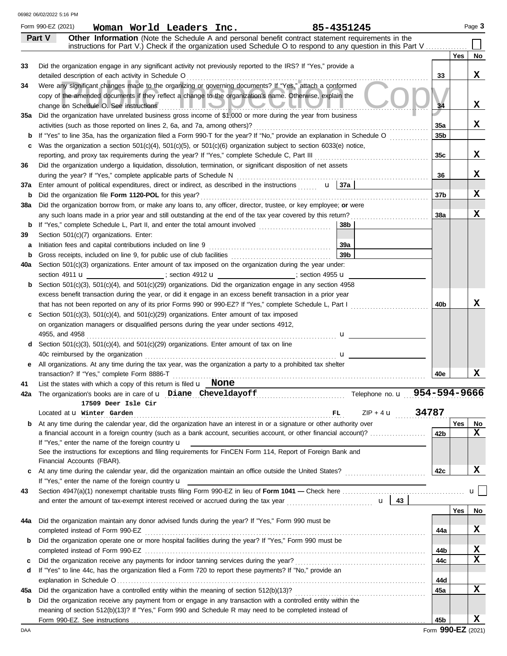|          | Form 990-EZ (2021)<br>Woman World Leaders Inc.<br>85-4351245                                                                                                                                                                                                                                                                    |                 |            | Page 3       |
|----------|---------------------------------------------------------------------------------------------------------------------------------------------------------------------------------------------------------------------------------------------------------------------------------------------------------------------------------|-----------------|------------|--------------|
|          | Other Information (Note the Schedule A and personal benefit contract statement requirements in the<br>Part V                                                                                                                                                                                                                    |                 |            |              |
|          | instructions for Part V.) Check if the organization used Schedule O to respond to any question in this Part V                                                                                                                                                                                                                   |                 |            |              |
| 33       | Did the organization engage in any significant activity not previously reported to the IRS? If "Yes," provide a                                                                                                                                                                                                                 |                 | <b>Yes</b> | No           |
|          | detailed description of each activity in Schedule O                                                                                                                                                                                                                                                                             | 33              |            | х            |
| 34       | Were any significant changes made to the organizing or governing documents? If "Yes," attach a conformed                                                                                                                                                                                                                        |                 |            |              |
|          | copy of the amended documents if they reflect a change to the organization's name. Otherwise, explain the                                                                                                                                                                                                                       |                 |            |              |
|          | change on Schedule O. See instructions <b>All Property Contains</b><br>$\mathcal{L}$                                                                                                                                                                                                                                            | 34              |            | X            |
| 35а      | Did the organization have unrelated business gross income of \$1,000 or more during the year from business                                                                                                                                                                                                                      |                 |            |              |
|          |                                                                                                                                                                                                                                                                                                                                 | 35a             |            | X            |
|          | If "Yes" to line 35a, has the organization filed a Form 990-T for the year? If "No," provide an explanation in Schedule O                                                                                                                                                                                                       | 35 <sub>b</sub> |            |              |
|          | Was the organization a section $501(c)(4)$ , $501(c)(5)$ , or $501(c)(6)$ organization subject to section 6033(e) notice,                                                                                                                                                                                                       |                 |            |              |
|          | reporting, and proxy tax requirements during the year? If "Yes," complete Schedule C, Part III [[[[[[[[[[[[[[[                                                                                                                                                                                                                  | 35c             |            | х            |
| 36       | Did the organization undergo a liquidation, dissolution, termination, or significant disposition of net assets                                                                                                                                                                                                                  |                 |            |              |
|          | during the year? If "Yes," complete applicable parts of Schedule N                                                                                                                                                                                                                                                              | 36              |            | х            |
| 37a<br>b | Enter amount of political expenditures, direct or indirect, as described in the instructions $\mathbf{u}$ $\mathbf{u}$ 37a<br>Did the organization file Form 1120-POL for this year?                                                                                                                                            | 37 <sub>b</sub> |            | х            |
| 38a      | Did the organization borrow from, or make any loans to, any officer, director, trustee, or key employee; or were                                                                                                                                                                                                                |                 |            |              |
|          | any such loans made in a prior year and still outstanding at the end of the tax year covered by this return?                                                                                                                                                                                                                    | 38a             |            | х            |
| b        | If "Yes," complete Schedule L, Part II, and enter the total amount involved [11, 11, 11, 11, 11, 11, 11, 11, 1<br>38b                                                                                                                                                                                                           |                 |            |              |
| 39       | Section 501(c)(7) organizations. Enter:                                                                                                                                                                                                                                                                                         |                 |            |              |
| а        | 39a                                                                                                                                                                                                                                                                                                                             |                 |            |              |
| b        | 39 <sub>b</sub>                                                                                                                                                                                                                                                                                                                 |                 |            |              |
| 40a      | Section 501(c)(3) organizations. Enter amount of tax imposed on the organization during the year under:                                                                                                                                                                                                                         |                 |            |              |
|          | section 4911 $\mathbf{u}$ (3) $\mathbf{u}$ (3) $\mathbf{u}$ (3) $\mathbf{u}$ (3) $\mathbf{u}$ (3) $\mathbf{u}$ (3) $\mathbf{u}$ (3) $\mathbf{u}$ (3) $\mathbf{u}$ (3) $\mathbf{u}$ (3) $\mathbf{u}$ (3) $\mathbf{u}$ (3) $\mathbf{u}$ (3) $\mathbf{u}$ (3) $\mathbf{u}$ (3) $\mathbf{u}$ (3)                                    |                 |            |              |
| b        | Section 501(c)(3), 501(c)(4), and 501(c)(29) organizations. Did the organization engage in any section 4958                                                                                                                                                                                                                     |                 |            |              |
|          | excess benefit transaction during the year, or did it engage in an excess benefit transaction in a prior year                                                                                                                                                                                                                   |                 |            |              |
|          | that has not been reported on any of its prior Forms 990 or 990-EZ? If "Yes," complete Schedule L, Part I                                                                                                                                                                                                                       | 40b             |            | х            |
| c        | Section $501(c)(3)$ , $501(c)(4)$ , and $501(c)(29)$ organizations. Enter amount of tax imposed                                                                                                                                                                                                                                 |                 |            |              |
|          | on organization managers or disqualified persons during the year under sections 4912,                                                                                                                                                                                                                                           |                 |            |              |
|          | 4955, and 4958<br>$\mathbf{u}$                                                                                                                                                                                                                                                                                                  |                 |            |              |
| d        | Section 501(c)(3), 501(c)(4), and 501(c)(29) organizations. Enter amount of tax on line                                                                                                                                                                                                                                         |                 |            |              |
|          | $\mathbf u$ and $\mathbf u$ and $\mathbf u$ and $\mathbf u$ and $\mathbf u$ and $\mathbf u$ and $\mathbf u$ and $\mathbf u$ and $\mathbf u$ and $\mathbf u$ and $\mathbf u$ and $\mathbf u$ and $\mathbf u$ and $\mathbf u$ and $\mathbf u$ and $\mathbf u$ and $\mathbf u$ and $\mathbf u$ and $\mathbf u$ and $\mathbf u$ and |                 |            |              |
| е        | All organizations. At any time during the tax year, was the organization a party to a prohibited tax shelter                                                                                                                                                                                                                    |                 |            |              |
|          | transaction? If "Yes," complete Form 8886-T                                                                                                                                                                                                                                                                                     | 40e             |            | х            |
| 41       | List the states with which a copy of this return is filed $\mathbf u$ None<br>42a The organization's books are in care of <b>u</b> Diane Cheveldayoff<br>Telephone no. u 954-594-9666                                                                                                                                           |                 |            |              |
|          | 17509 Deer Isle Cir                                                                                                                                                                                                                                                                                                             |                 |            |              |
|          | $ZIP + 4$ $\mathbf{u}$<br>Located at <b>u</b> Winter Garden                                                                                                                                                                                                                                                                     | 34787           |            |              |
| b        | At any time during the calendar year, did the organization have an interest in or a signature or other authority over                                                                                                                                                                                                           |                 | Yes        | No           |
|          | a financial account in a foreign country (such as a bank account, securities account, or other financial account)?                                                                                                                                                                                                              | 42b             |            | $\mathbf x$  |
|          | If "Yes," enter the name of the foreign country u                                                                                                                                                                                                                                                                               |                 |            |              |
|          | See the instructions for exceptions and filing requirements for FinCEN Form 114, Report of Foreign Bank and                                                                                                                                                                                                                     |                 |            |              |
|          | Financial Accounts (FBAR).                                                                                                                                                                                                                                                                                                      |                 |            |              |
| c        | At any time during the calendar year, did the organization maintain an office outside the United States?                                                                                                                                                                                                                        | 42c             |            | x            |
|          | If "Yes," enter the name of the foreign country <b>u</b>                                                                                                                                                                                                                                                                        |                 |            |              |
| 43       |                                                                                                                                                                                                                                                                                                                                 |                 |            | $\mathbf{u}$ |
|          |                                                                                                                                                                                                                                                                                                                                 |                 |            |              |
|          |                                                                                                                                                                                                                                                                                                                                 |                 | Yes        | No           |
| 44a      | Did the organization maintain any donor advised funds during the year? If "Yes," Form 990 must be                                                                                                                                                                                                                               |                 |            | X            |
|          | completed instead of Form 990-EZ                                                                                                                                                                                                                                                                                                | 44а             |            |              |
| b        | Did the organization operate one or more hospital facilities during the year? If "Yes," Form 990 must be                                                                                                                                                                                                                        | 44b             |            | X            |
| c        |                                                                                                                                                                                                                                                                                                                                 | 44c             |            | X            |
| d        | If "Yes" to line 44c, has the organization filed a Form 720 to report these payments? If "No," provide an                                                                                                                                                                                                                       |                 |            |              |
|          |                                                                                                                                                                                                                                                                                                                                 | 44d             |            |              |
| 45а      | Did the organization have a controlled entity within the meaning of section 512(b)(13)?                                                                                                                                                                                                                                         | 45a             |            | X            |
| b        | Did the organization receive any payment from or engage in any transaction with a controlled entity within the                                                                                                                                                                                                                  |                 |            |              |
|          | meaning of section 512(b)(13)? If "Yes," Form 990 and Schedule R may need to be completed instead of                                                                                                                                                                                                                            |                 |            |              |
|          |                                                                                                                                                                                                                                                                                                                                 | 45b             |            | X            |
|          |                                                                                                                                                                                                                                                                                                                                 |                 |            |              |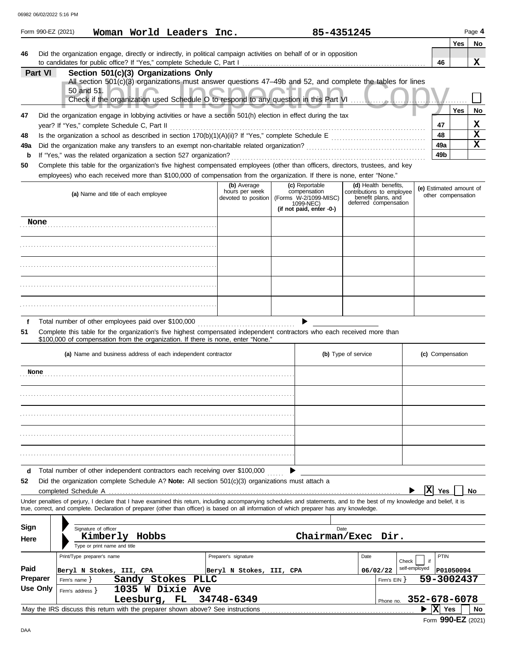| 06982 06/02/2022 5:16 PM |  |  |
|--------------------------|--|--|

|         |                                                                                                                                                                                                               | 06982 06/02/2022 5:16 PM |                                          |                                              |                                                              |                                                                                                                                                                                    |     |                                                                                |                                                                                                                                                                            |                |             |                                               |             |
|---------|---------------------------------------------------------------------------------------------------------------------------------------------------------------------------------------------------------------|--------------------------|------------------------------------------|----------------------------------------------|--------------------------------------------------------------|------------------------------------------------------------------------------------------------------------------------------------------------------------------------------------|-----|--------------------------------------------------------------------------------|----------------------------------------------------------------------------------------------------------------------------------------------------------------------------|----------------|-------------|-----------------------------------------------|-------------|
|         |                                                                                                                                                                                                               | Form 990-EZ (2021)       |                                          |                                              | Woman World Leaders Inc.                                     |                                                                                                                                                                                    |     | 85-4351245                                                                     |                                                                                                                                                                            |                |             |                                               | Page 4      |
| 46      |                                                                                                                                                                                                               |                          |                                          |                                              |                                                              | Did the organization engage, directly or indirectly, in political campaign activities on behalf of or in opposition                                                                |     |                                                                                |                                                                                                                                                                            |                |             | Yes                                           | No          |
|         |                                                                                                                                                                                                               |                          |                                          |                                              |                                                              |                                                                                                                                                                                    |     |                                                                                |                                                                                                                                                                            |                | 46          |                                               | x           |
|         | Part VI                                                                                                                                                                                                       |                          |                                          |                                              | Section 501(c)(3) Organizations Only                         |                                                                                                                                                                                    |     |                                                                                | All section 501(c)(3) organizations must answer questions 47-49b and 52, and complete the tables for lines                                                                 |                |             |                                               |             |
|         |                                                                                                                                                                                                               |                          | 50 and 51.                               |                                              |                                                              |                                                                                                                                                                                    |     |                                                                                |                                                                                                                                                                            |                |             |                                               |             |
|         |                                                                                                                                                                                                               |                          |                                          |                                              |                                                              | Check if the organization used Schedule O to respond to any question in this Part VI                                                                                               |     |                                                                                |                                                                                                                                                                            |                |             |                                               |             |
| 47      |                                                                                                                                                                                                               |                          |                                          |                                              |                                                              | Did the organization engage in lobbying activities or have a section 501(h) election in effect during the tax                                                                      |     |                                                                                |                                                                                                                                                                            |                |             | Yes                                           | No          |
|         |                                                                                                                                                                                                               |                          |                                          | year? If "Yes," complete Schedule C, Part II |                                                              |                                                                                                                                                                                    |     |                                                                                |                                                                                                                                                                            |                | 47          |                                               | х           |
| 48      |                                                                                                                                                                                                               |                          |                                          |                                              |                                                              |                                                                                                                                                                                    |     |                                                                                |                                                                                                                                                                            |                | 48          |                                               | $\mathbf x$ |
| 49a     |                                                                                                                                                                                                               |                          |                                          |                                              |                                                              |                                                                                                                                                                                    | 49a |                                                                                | $\mathbf x$                                                                                                                                                                |                |             |                                               |             |
| b       | If "Yes," was the related organization a section 527 organization?<br>49b<br>Complete this table for the organization's five highest compensated employees (other than officers, directors, trustees, and key |                          |                                          |                                              |                                                              |                                                                                                                                                                                    |     |                                                                                |                                                                                                                                                                            |                |             |                                               |             |
| 50      |                                                                                                                                                                                                               |                          |                                          |                                              |                                                              | employees) who each received more than \$100,000 of compensation from the organization. If there is none, enter "None."                                                            |     |                                                                                |                                                                                                                                                                            |                |             |                                               |             |
|         |                                                                                                                                                                                                               |                          |                                          |                                              |                                                              | (b) Average                                                                                                                                                                        |     | (c) Reportable                                                                 | (d) Health benefits.                                                                                                                                                       |                |             |                                               |             |
|         |                                                                                                                                                                                                               |                          |                                          | (a) Name and title of each employee          |                                                              | hours per week<br>devoted to position                                                                                                                                              |     | compensation<br>(Forms W-2/1099-MISC)<br>1099-NEC)<br>(if not paid, enter -0-) | contributions to employee<br>benefit plans, and<br>deferred compensation                                                                                                   |                |             | (e) Estimated amount of<br>other compensation |             |
|         | None                                                                                                                                                                                                          |                          |                                          |                                              |                                                              |                                                                                                                                                                                    |     |                                                                                |                                                                                                                                                                            |                |             |                                               |             |
|         |                                                                                                                                                                                                               |                          |                                          |                                              |                                                              |                                                                                                                                                                                    |     |                                                                                |                                                                                                                                                                            |                |             |                                               |             |
|         |                                                                                                                                                                                                               |                          |                                          |                                              |                                                              |                                                                                                                                                                                    |     |                                                                                |                                                                                                                                                                            |                |             |                                               |             |
|         |                                                                                                                                                                                                               |                          |                                          |                                              |                                                              |                                                                                                                                                                                    |     |                                                                                |                                                                                                                                                                            |                |             |                                               |             |
|         |                                                                                                                                                                                                               |                          |                                          |                                              |                                                              |                                                                                                                                                                                    |     |                                                                                |                                                                                                                                                                            |                |             |                                               |             |
|         |                                                                                                                                                                                                               |                          |                                          |                                              |                                                              |                                                                                                                                                                                    |     |                                                                                |                                                                                                                                                                            |                |             |                                               |             |
| f       |                                                                                                                                                                                                               |                          |                                          |                                              | Total number of other employees paid over \$100,000          |                                                                                                                                                                                    |     |                                                                                |                                                                                                                                                                            |                |             |                                               |             |
| 51      |                                                                                                                                                                                                               |                          |                                          |                                              |                                                              | \$100,000 of compensation from the organization. If there is none, enter "None."                                                                                                   |     |                                                                                | Complete this table for the organization's five highest compensated independent contractors who each received more than                                                    |                |             |                                               |             |
|         |                                                                                                                                                                                                               |                          |                                          |                                              | (a) Name and business address of each independent contractor |                                                                                                                                                                                    |     |                                                                                | (b) Type of service                                                                                                                                                        |                |             | (c) Compensation                              |             |
|         | None                                                                                                                                                                                                          |                          |                                          |                                              |                                                              |                                                                                                                                                                                    |     |                                                                                |                                                                                                                                                                            |                |             |                                               |             |
|         |                                                                                                                                                                                                               |                          |                                          |                                              |                                                              |                                                                                                                                                                                    |     |                                                                                |                                                                                                                                                                            |                |             |                                               |             |
|         |                                                                                                                                                                                                               |                          |                                          |                                              |                                                              |                                                                                                                                                                                    |     |                                                                                |                                                                                                                                                                            |                |             |                                               |             |
|         |                                                                                                                                                                                                               |                          |                                          |                                              |                                                              |                                                                                                                                                                                    |     |                                                                                |                                                                                                                                                                            |                |             |                                               |             |
|         |                                                                                                                                                                                                               |                          |                                          |                                              |                                                              |                                                                                                                                                                                    |     |                                                                                |                                                                                                                                                                            |                |             |                                               |             |
| d<br>52 |                                                                                                                                                                                                               |                          |                                          |                                              |                                                              | Total number of other independent contractors each receiving over \$100,000<br>Did the organization complete Schedule A? Note: All section $501(c)(3)$ organizations must attach a |     |                                                                                |                                                                                                                                                                            | $ \mathbf{x} $ |             |                                               | No          |
|         |                                                                                                                                                                                                               | completed Schedule A     |                                          |                                              |                                                              |                                                                                                                                                                                    |     |                                                                                | Under penalties of perjury, I declare that I have examined this return, including accompanying schedules and statements, and to the best of my knowledge and belief, it is |                | Yes         |                                               |             |
|         |                                                                                                                                                                                                               |                          |                                          |                                              |                                                              | true, correct, and complete. Declaration of preparer (other than officer) is based on all information of which preparer has any knowledge.                                         |     |                                                                                |                                                                                                                                                                            |                |             |                                               |             |
| Sign    |                                                                                                                                                                                                               |                          | Signature of officer                     |                                              |                                                              |                                                                                                                                                                                    |     | Date                                                                           |                                                                                                                                                                            |                |             |                                               |             |
| Here    |                                                                                                                                                                                                               |                          | Kimberly<br>Type or print name and title | Hobbs                                        |                                                              |                                                                                                                                                                                    |     |                                                                                | Chairman/Exec Dir.                                                                                                                                                         |                |             |                                               |             |
|         |                                                                                                                                                                                                               |                          | Print/Type preparer's name               |                                              |                                                              | Preparer's signature                                                                                                                                                               |     |                                                                                | Date                                                                                                                                                                       | Check          | <b>PTIN</b> |                                               |             |
| Paid    |                                                                                                                                                                                                               |                          |                                          | Beryl N Stokes, III, CPA                     |                                                              | Beryl N Stokes, III, CPA                                                                                                                                                           |     |                                                                                | 06/02/22                                                                                                                                                                   | self-employed  |             | P01050094                                     |             |
|         | <b>Preparer</b>                                                                                                                                                                                               | Firm's name $\}$         |                                          | Sandy Stokes                                 | <b>PLLC</b>                                                  |                                                                                                                                                                                    |     |                                                                                | Firm's $EIN$ }                                                                                                                                                             |                |             | 59-3002437                                    |             |
|         | Use Only                                                                                                                                                                                                      | Firm's address $\}$      |                                          | Leesburg, FL                                 | 1035 W Dixie Ave                                             | 34748-6349                                                                                                                                                                         |     |                                                                                | Phone no.                                                                                                                                                                  | 352-678-6078   |             |                                               |             |
|         |                                                                                                                                                                                                               |                          |                                          |                                              |                                                              | May the IRS discuss this return with the preparer shown above? See instructions                                                                                                    |     |                                                                                |                                                                                                                                                                            |                | X Yes       |                                               | No          |

Form **990-EZ** (2021)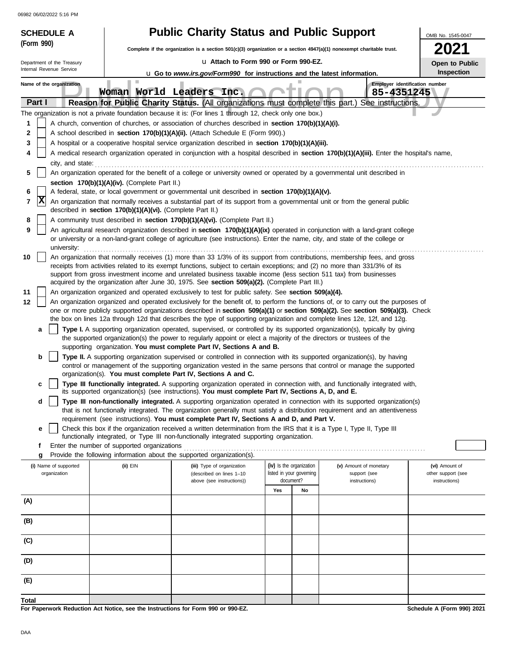| <b>SCHEDULE A</b>          |                                                                                                                                                                                      | <b>Public Charity Status and Public Support</b>                                                                                                                                                                                                             |                          |                          |                               | OMB No. 1545-0047                   |  |  |  |
|----------------------------|--------------------------------------------------------------------------------------------------------------------------------------------------------------------------------------|-------------------------------------------------------------------------------------------------------------------------------------------------------------------------------------------------------------------------------------------------------------|--------------------------|--------------------------|-------------------------------|-------------------------------------|--|--|--|
| (Form 990)                 |                                                                                                                                                                                      | Complete if the organization is a section 501(c)(3) organization or a section 4947(a)(1) nonexempt charitable trust.                                                                                                                                        |                          |                          |                               | 2021                                |  |  |  |
| Department of the Treasury |                                                                                                                                                                                      | La Attach to Form 990 or Form 990-EZ.                                                                                                                                                                                                                       |                          |                          |                               | Open to Public                      |  |  |  |
| Internal Revenue Service   |                                                                                                                                                                                      | <b>u</b> Go to www.irs.gov/Form990 for instructions and the latest information.                                                                                                                                                                             |                          |                          |                               | Inspection                          |  |  |  |
| Name of the organization   | ш                                                                                                                                                                                    | Woman World Leaders Inc.                                                                                                                                                                                                                                    |                          |                          | 85-4351245                    | Employer identification number      |  |  |  |
| Part I                     |                                                                                                                                                                                      | Reason for Public Charity Status. (All organizations must complete this part.) See instructions.                                                                                                                                                            |                          |                          |                               |                                     |  |  |  |
|                            |                                                                                                                                                                                      | The organization is not a private foundation because it is: (For lines 1 through 12, check only one box.)                                                                                                                                                   |                          |                          |                               |                                     |  |  |  |
| 1                          | A church, convention of churches, or association of churches described in section 170(b)(1)(A)(i).                                                                                   |                                                                                                                                                                                                                                                             |                          |                          |                               |                                     |  |  |  |
| 2<br>3                     | A school described in section 170(b)(1)(A)(ii). (Attach Schedule E (Form 990).)<br>A hospital or a cooperative hospital service organization described in section 170(b)(1)(A)(iii). |                                                                                                                                                                                                                                                             |                          |                          |                               |                                     |  |  |  |
| 4                          |                                                                                                                                                                                      | A medical research organization operated in conjunction with a hospital described in section 170(b)(1)(A)(iii). Enter the hospital's name,                                                                                                                  |                          |                          |                               |                                     |  |  |  |
| city, and state:           |                                                                                                                                                                                      |                                                                                                                                                                                                                                                             |                          |                          |                               |                                     |  |  |  |
| 5                          |                                                                                                                                                                                      | An organization operated for the benefit of a college or university owned or operated by a governmental unit described in                                                                                                                                   |                          |                          |                               |                                     |  |  |  |
|                            | section 170(b)(1)(A)(iv). (Complete Part II.)                                                                                                                                        |                                                                                                                                                                                                                                                             |                          |                          |                               |                                     |  |  |  |
| 6                          |                                                                                                                                                                                      | A federal, state, or local government or governmental unit described in section 170(b)(1)(A)(v).                                                                                                                                                            |                          |                          |                               |                                     |  |  |  |
| Ιx<br>7                    | described in section 170(b)(1)(A)(vi). (Complete Part II.)                                                                                                                           | An organization that normally receives a substantial part of its support from a governmental unit or from the general public                                                                                                                                |                          |                          |                               |                                     |  |  |  |
| 8<br>9                     |                                                                                                                                                                                      | A community trust described in section 170(b)(1)(A)(vi). (Complete Part II.)<br>An agricultural research organization described in section 170(b)(1)(A)(ix) operated in conjunction with a land-grant college                                               |                          |                          |                               |                                     |  |  |  |
| university:                |                                                                                                                                                                                      | or university or a non-land-grant college of agriculture (see instructions). Enter the name, city, and state of the college or                                                                                                                              |                          |                          |                               |                                     |  |  |  |
| 10                         |                                                                                                                                                                                      | An organization that normally receives (1) more than 33 1/3% of its support from contributions, membership fees, and gross                                                                                                                                  |                          |                          |                               |                                     |  |  |  |
|                            |                                                                                                                                                                                      | receipts from activities related to its exempt functions, subject to certain exceptions; and (2) no more than 331/3% of its                                                                                                                                 |                          |                          |                               |                                     |  |  |  |
|                            |                                                                                                                                                                                      | support from gross investment income and unrelated business taxable income (less section 511 tax) from businesses<br>acquired by the organization after June 30, 1975. See section 509(a)(2). (Complete Part III.)                                          |                          |                          |                               |                                     |  |  |  |
| 11                         |                                                                                                                                                                                      | An organization organized and operated exclusively to test for public safety. See section 509(a)(4).                                                                                                                                                        |                          |                          |                               |                                     |  |  |  |
| 12                         |                                                                                                                                                                                      | An organization organized and operated exclusively for the benefit of, to perform the functions of, or to carry out the purposes of                                                                                                                         |                          |                          |                               |                                     |  |  |  |
|                            |                                                                                                                                                                                      | one or more publicly supported organizations described in section 509(a)(1) or section 509(a)(2). See section 509(a)(3). Check<br>the box on lines 12a through 12d that describes the type of supporting organization and complete lines 12e, 12f, and 12g. |                          |                          |                               |                                     |  |  |  |
| a                          |                                                                                                                                                                                      | Type I. A supporting organization operated, supervised, or controlled by its supported organization(s), typically by giving<br>the supported organization(s) the power to regularly appoint or elect a majority of the directors or trustees of the         |                          |                          |                               |                                     |  |  |  |
|                            |                                                                                                                                                                                      | supporting organization. You must complete Part IV, Sections A and B.<br>Type II. A supporting organization supervised or controlled in connection with its supported organization(s), by having                                                            |                          |                          |                               |                                     |  |  |  |
| b                          |                                                                                                                                                                                      | control or management of the supporting organization vested in the same persons that control or manage the supported<br>organization(s). You must complete Part IV, Sections A and C.                                                                       |                          |                          |                               |                                     |  |  |  |
| c                          |                                                                                                                                                                                      | Type III functionally integrated. A supporting organization operated in connection with, and functionally integrated with,<br>its supported organization(s) (see instructions). You must complete Part IV, Sections A, D, and E.                            |                          |                          |                               |                                     |  |  |  |
| d                          |                                                                                                                                                                                      | Type III non-functionally integrated. A supporting organization operated in connection with its supported organization(s)<br>that is not functionally integrated. The organization generally must satisfy a distribution requirement and an attentiveness   |                          |                          |                               |                                     |  |  |  |
|                            |                                                                                                                                                                                      | requirement (see instructions). You must complete Part IV, Sections A and D, and Part V.                                                                                                                                                                    |                          |                          |                               |                                     |  |  |  |
| е                          |                                                                                                                                                                                      | Check this box if the organization received a written determination from the IRS that it is a Type I, Type II, Type III<br>functionally integrated, or Type III non-functionally integrated supporting organization.                                        |                          |                          |                               |                                     |  |  |  |
| f                          | Enter the number of supported organizations                                                                                                                                          |                                                                                                                                                                                                                                                             |                          |                          |                               |                                     |  |  |  |
| g                          |                                                                                                                                                                                      | Provide the following information about the supported organization(s).                                                                                                                                                                                      |                          |                          |                               |                                     |  |  |  |
| (i) Name of supported      | (ii) EIN                                                                                                                                                                             | (iii) Type of organization                                                                                                                                                                                                                                  | (iv) Is the organization | listed in your governing | (v) Amount of monetary        | (vi) Amount of                      |  |  |  |
| organization               |                                                                                                                                                                                      | (described on lines 1-10<br>above (see instructions))                                                                                                                                                                                                       | document?                |                          | support (see<br>instructions) | other support (see<br>instructions) |  |  |  |
|                            |                                                                                                                                                                                      |                                                                                                                                                                                                                                                             | Yes                      | No                       |                               |                                     |  |  |  |
| (A)                        |                                                                                                                                                                                      |                                                                                                                                                                                                                                                             |                          |                          |                               |                                     |  |  |  |
| (B)                        |                                                                                                                                                                                      |                                                                                                                                                                                                                                                             |                          |                          |                               |                                     |  |  |  |
|                            |                                                                                                                                                                                      |                                                                                                                                                                                                                                                             |                          |                          |                               |                                     |  |  |  |
| (C)                        |                                                                                                                                                                                      |                                                                                                                                                                                                                                                             |                          |                          |                               |                                     |  |  |  |
| (D)                        |                                                                                                                                                                                      |                                                                                                                                                                                                                                                             |                          |                          |                               |                                     |  |  |  |
| (E)                        |                                                                                                                                                                                      |                                                                                                                                                                                                                                                             |                          |                          |                               |                                     |  |  |  |
| Total                      |                                                                                                                                                                                      |                                                                                                                                                                                                                                                             |                          |                          |                               |                                     |  |  |  |
|                            | For Paperwork Reduction Act Notice, see the Instructions for Form 990 or 990-EZ.                                                                                                     |                                                                                                                                                                                                                                                             |                          |                          |                               | Schedule A (Form 990) 2021          |  |  |  |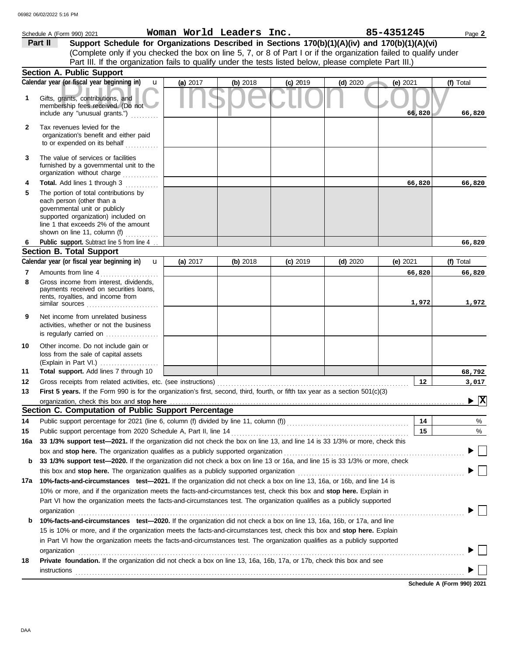|              | Schedule A (Form 990) 2021                                                                                                                                                                                                                                                                                                                                    |          | Woman World Leaders Inc. |            |            | 85-4351245 | Page 2                  |
|--------------|---------------------------------------------------------------------------------------------------------------------------------------------------------------------------------------------------------------------------------------------------------------------------------------------------------------------------------------------------------------|----------|--------------------------|------------|------------|------------|-------------------------|
|              | Support Schedule for Organizations Described in Sections 170(b)(1)(A)(iv) and 170(b)(1)(A)(vi)<br>Part II                                                                                                                                                                                                                                                     |          |                          |            |            |            |                         |
|              | (Complete only if you checked the box on line 5, 7, or 8 of Part I or if the organization failed to qualify under                                                                                                                                                                                                                                             |          |                          |            |            |            |                         |
|              | Part III. If the organization fails to qualify under the tests listed below, please complete Part III.)                                                                                                                                                                                                                                                       |          |                          |            |            |            |                         |
|              | <b>Section A. Public Support</b>                                                                                                                                                                                                                                                                                                                              |          |                          |            |            |            |                         |
|              | Calendar year (or fiscal year beginning in)<br>$\mathbf{u}$                                                                                                                                                                                                                                                                                                   | (a) 2017 | (b) 2018                 | $(c)$ 2019 | (d) $2020$ | (e) $2021$ | (f) Total               |
| 1            | Gifts, grants, contributions, and<br>membership fees received. (Do not<br>include any "unusual grants.")                                                                                                                                                                                                                                                      |          |                          |            |            | 66,820     | 66,820                  |
| $\mathbf{2}$ | Tax revenues levied for the<br>organization's benefit and either paid<br>to or expended on its behalf                                                                                                                                                                                                                                                         |          |                          |            |            |            |                         |
| 3            | The value of services or facilities<br>furnished by a governmental unit to the<br>organization without charge                                                                                                                                                                                                                                                 |          |                          |            |            |            |                         |
| 4            | Total. Add lines 1 through 3                                                                                                                                                                                                                                                                                                                                  |          |                          |            |            | 66,820     | 66,820                  |
| 5            | The portion of total contributions by<br>each person (other than a<br>governmental unit or publicly<br>supported organization) included on<br>line 1 that exceeds 2% of the amount<br>shown on line 11, column (f)                                                                                                                                            |          |                          |            |            |            |                         |
| 6            | Public support. Subtract line 5 from line 4                                                                                                                                                                                                                                                                                                                   |          |                          |            |            |            | 66,820                  |
|              | <b>Section B. Total Support</b>                                                                                                                                                                                                                                                                                                                               |          |                          |            |            |            |                         |
|              | Calendar year (or fiscal year beginning in)<br>$\mathbf{u}$                                                                                                                                                                                                                                                                                                   | (a) 2017 | (b) 2018                 | $(c)$ 2019 | $(d)$ 2020 | (e) $2021$ | (f) Total               |
| 7            | Amounts from line 4                                                                                                                                                                                                                                                                                                                                           |          |                          |            |            | 66,820     | 66,820                  |
| 8            | Gross income from interest, dividends,<br>payments received on securities loans,<br>rents, royalties, and income from<br>similar sources                                                                                                                                                                                                                      |          |                          |            |            | 1,972      | 1,972                   |
| 9            | Net income from unrelated business<br>activities, whether or not the business<br>is regularly carried on                                                                                                                                                                                                                                                      |          |                          |            |            |            |                         |
| 10           | Other income. Do not include gain or<br>loss from the sale of capital assets                                                                                                                                                                                                                                                                                  |          |                          |            |            |            |                         |
| 11           | Total support. Add lines 7 through 10                                                                                                                                                                                                                                                                                                                         |          |                          |            |            |            | 68,792                  |
| 12           | Gross receipts from related activities, etc. (see instructions)                                                                                                                                                                                                                                                                                               |          |                          |            |            | 12         | 3,017                   |
| 13           | First 5 years. If the Form 990 is for the organization's first, second, third, fourth, or fifth tax year as a section 501(c)(3)                                                                                                                                                                                                                               |          |                          |            |            |            |                         |
|              | organization, check this box and stop here                                                                                                                                                                                                                                                                                                                    |          |                          |            |            |            | $\overline{\mathbf{x}}$ |
|              | Section C. Computation of Public Support Percentage                                                                                                                                                                                                                                                                                                           |          |                          |            |            |            |                         |
| 14           |                                                                                                                                                                                                                                                                                                                                                               |          |                          |            |            | 14         | %                       |
| 15           | Public support percentage from 2020 Schedule A, Part II, line 14<br>33 1/3% support test-2021. If the organization did not check the box on line 13, and line 14 is 33 1/3% or more, check this                                                                                                                                                               |          |                          |            |            | 15         | %                       |
| 16a          |                                                                                                                                                                                                                                                                                                                                                               |          |                          |            |            |            |                         |
| b            | box and stop here. The organization qualifies as a publicly supported organization [11] content content content content or the content of the content of the content of the content of the content of the content of the conte<br>33 1/3% support test-2020. If the organization did not check a box on line 13 or 16a, and line 15 is 33 1/3% or more, check |          |                          |            |            |            |                         |
|              | this box and <b>stop here.</b> The organization qualifies as a publicly supported organization                                                                                                                                                                                                                                                                |          |                          |            |            |            |                         |
| 17а          | 10%-facts-and-circumstances test-2021. If the organization did not check a box on line 13, 16a, or 16b, and line 14 is                                                                                                                                                                                                                                        |          |                          |            |            |            |                         |
|              | 10% or more, and if the organization meets the facts-and-circumstances test, check this box and stop here. Explain in<br>Part VI how the organization meets the facts-and-circumstances test. The organization qualifies as a publicly supported<br>organization                                                                                              |          |                          |            |            |            |                         |
| b            | 10%-facts-and-circumstances test-2020. If the organization did not check a box on line 13, 16a, 16b, or 17a, and line                                                                                                                                                                                                                                         |          |                          |            |            |            |                         |
|              | 15 is 10% or more, and if the organization meets the facts-and-circumstances test, check this box and stop here. Explain                                                                                                                                                                                                                                      |          |                          |            |            |            |                         |
|              | in Part VI how the organization meets the facts-and-circumstances test. The organization qualifies as a publicly supported                                                                                                                                                                                                                                    |          |                          |            |            |            |                         |
|              | organization                                                                                                                                                                                                                                                                                                                                                  |          |                          |            |            |            |                         |
| 18           | Private foundation. If the organization did not check a box on line 13, 16a, 16b, 17a, or 17b, check this box and see                                                                                                                                                                                                                                         |          |                          |            |            |            |                         |
|              | <b>instructions</b>                                                                                                                                                                                                                                                                                                                                           |          |                          |            |            |            |                         |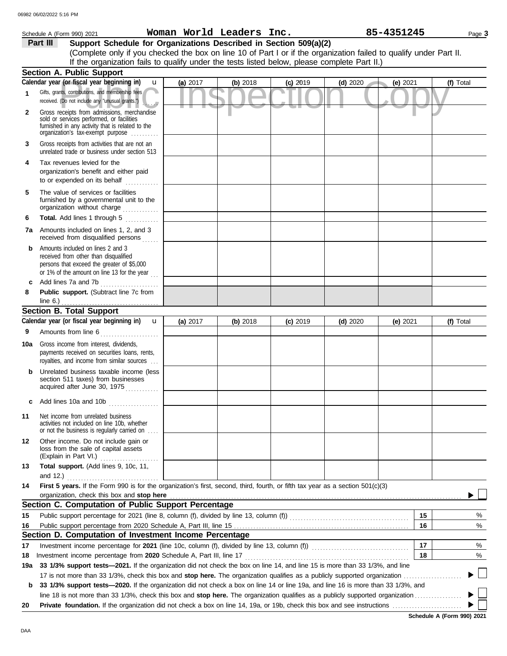|              | Schedule A (Form 990) 2021                                                                                                                                                        |          | Woman World Leaders Inc. |            | 85-4351245 |            | Page 3    |
|--------------|-----------------------------------------------------------------------------------------------------------------------------------------------------------------------------------|----------|--------------------------|------------|------------|------------|-----------|
|              | Support Schedule for Organizations Described in Section 509(a)(2)<br>Part III                                                                                                     |          |                          |            |            |            |           |
|              | (Complete only if you checked the box on line 10 of Part I or if the organization failed to qualify under Part II.                                                                |          |                          |            |            |            |           |
|              | If the organization fails to qualify under the tests listed below, please complete Part II.)                                                                                      |          |                          |            |            |            |           |
|              | Section A. Public Support                                                                                                                                                         |          |                          |            |            |            |           |
|              | Calendar year (or fiscal year beginning in)<br>$\mathbf{u}$                                                                                                                       | (a) 2017 | (b) 2018                 | $(c)$ 2019 | $(d)$ 2020 | $(e)$ 2021 | (f) Total |
| 1            | Gifts, grants, contributions, and membership fees<br>received. (Do not include any "unusual grants.")                                                                             |          |                          |            |            |            |           |
| $\mathbf{2}$ | Gross receipts from admissions, merchandise<br>sold or services performed, or facilities<br>furnished in any activity that is related to the<br>organization's tax-exempt purpose |          |                          |            |            |            |           |
| 3            | Gross receipts from activities that are not an<br>unrelated trade or business under section 513                                                                                   |          |                          |            |            |            |           |
| 4            | Tax revenues levied for the<br>organization's benefit and either paid<br>to or expended on its behalf<br><u>.</u><br>.                                                            |          |                          |            |            |            |           |
| 5            | The value of services or facilities<br>furnished by a governmental unit to the<br>organization without charge                                                                     |          |                          |            |            |            |           |
| 6            | Total. Add lines 1 through 5                                                                                                                                                      |          |                          |            |            |            |           |
|              | <b>7a</b> Amounts included on lines 1, 2, and 3<br>received from disqualified persons                                                                                             |          |                          |            |            |            |           |
| b            | Amounts included on lines 2 and 3<br>received from other than disqualified<br>persons that exceed the greater of \$5,000<br>or 1% of the amount on line 13 for the year $\ldots$  |          |                          |            |            |            |           |
| c            | Add lines 7a and 7b<br>.                                                                                                                                                          |          |                          |            |            |            |           |
| 8            | Public support. (Subtract line 7c from<br>line $6.$ )                                                                                                                             |          |                          |            |            |            |           |
|              | <b>Section B. Total Support</b>                                                                                                                                                   |          |                          |            |            |            |           |
|              | Calendar year (or fiscal year beginning in)<br>$\mathbf{u}$                                                                                                                       | (a) 2017 | (b) 2018                 | $(c)$ 2019 | $(d)$ 2020 | (e) 2021   | (f) Total |
| 9            | Amounts from line 6<br><u> 1966 - Johann Stoff, Amerikaansk kanton en </u>                                                                                                        |          |                          |            |            |            |           |
| 10a          | Gross income from interest, dividends,<br>payments received on securities loans, rents,<br>royalties, and income from similar sources                                             |          |                          |            |            |            |           |
|              | Unrelated business taxable income (less<br>section 511 taxes) from businesses<br>acquired after June 30, 1975                                                                     |          |                          |            |            |            |           |
| c            | Add lines 10a and 10b                                                                                                                                                             |          |                          |            |            |            |           |
| 11           | Net income from unrelated business<br>activities not included on line 10b, whether<br>or not the business is regularly carried on                                                 |          |                          |            |            |            |           |
| 12           | Other income. Do not include gain or<br>loss from the sale of capital assets<br>(Explain in Part VI.)                                                                             |          |                          |            |            |            |           |
| 13           | Total support. (Add lines 9, 10c, 11,                                                                                                                                             |          |                          |            |            |            |           |
|              | and 12.)                                                                                                                                                                          |          |                          |            |            |            |           |
| 14           | First 5 years. If the Form 990 is for the organization's first, second, third, fourth, or fifth tax year as a section 501(c)(3)                                                   |          |                          |            |            |            |           |
|              | organization, check this box and stop here<br>Section C. Computation of Public Support Percentage                                                                                 |          |                          |            |            |            |           |
|              |                                                                                                                                                                                   |          |                          |            |            | 15         |           |
| 15           |                                                                                                                                                                                   |          |                          |            |            | 16         | %<br>$\%$ |
| 16           | Section D. Computation of Investment Income Percentage                                                                                                                            |          |                          |            |            |            |           |
| 17           |                                                                                                                                                                                   |          |                          |            |            | 17         | %         |
| 18           |                                                                                                                                                                                   |          |                          |            |            | 18         | %         |
| 19a          | 33 1/3% support tests-2021. If the organization did not check the box on line 14, and line 15 is more than 33 1/3%, and line                                                      |          |                          |            |            |            |           |
|              |                                                                                                                                                                                   |          |                          |            |            |            |           |
| b            | 33 1/3% support tests-2020. If the organization did not check a box on line 14 or line 19a, and line 16 is more than 33 1/3%, and                                                 |          |                          |            |            |            |           |
|              |                                                                                                                                                                                   |          |                          |            |            |            |           |
| 20           |                                                                                                                                                                                   |          |                          |            |            |            |           |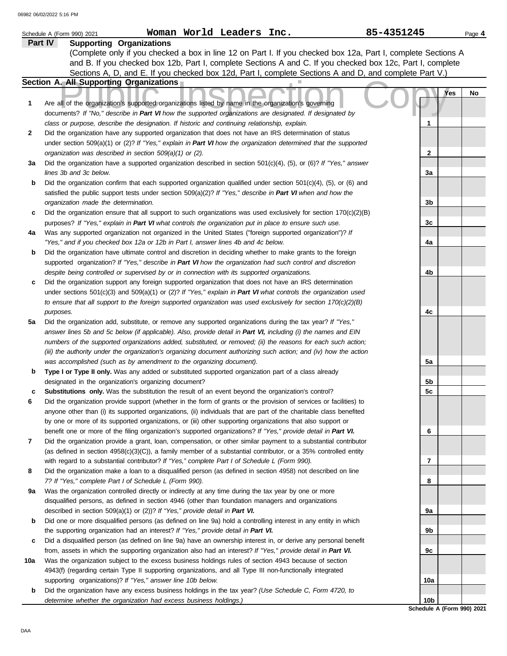|     | 85-4351245<br>Woman World Leaders Inc.<br>Schedule A (Form 990) 2021                                                                                                                                                                  |                            | Page 4 |
|-----|---------------------------------------------------------------------------------------------------------------------------------------------------------------------------------------------------------------------------------------|----------------------------|--------|
|     | <b>Supporting Organizations</b><br>Part IV                                                                                                                                                                                            |                            |        |
|     | (Complete only if you checked a box in line 12 on Part I. If you checked box 12a, Part I, complete Sections A                                                                                                                         |                            |        |
|     | and B. If you checked box 12b, Part I, complete Sections A and C. If you checked box 12c, Part I, complete                                                                                                                            |                            |        |
|     | Sections A, D, and E. If you checked box 12d, Part I, complete Sections A and D, and complete Part V.)                                                                                                                                |                            |        |
|     | Section A. All Supporting Organizations                                                                                                                                                                                               |                            |        |
| 1   | Are all of the organization's supported organizations listed by name in the organization's governing                                                                                                                                  | Yes                        | No     |
|     | documents? If "No," describe in Part VI how the supported organizations are designated. If designated by                                                                                                                              |                            |        |
|     | class or purpose, describe the designation. If historic and continuing relationship, explain.                                                                                                                                         | 1                          |        |
| 2   | Did the organization have any supported organization that does not have an IRS determination of status                                                                                                                                |                            |        |
|     | under section 509(a)(1) or (2)? If "Yes," explain in Part VI how the organization determined that the supported                                                                                                                       |                            |        |
|     | organization was described in section 509(a)(1) or (2).                                                                                                                                                                               | $\mathbf{2}$               |        |
| За  | Did the organization have a supported organization described in section $501(c)(4)$ , (5), or (6)? If "Yes," answer                                                                                                                   |                            |        |
|     | lines 3b and 3c below.                                                                                                                                                                                                                | 3a                         |        |
| b   | Did the organization confirm that each supported organization qualified under section $501(c)(4)$ , $(5)$ , or $(6)$ and                                                                                                              |                            |        |
|     | satisfied the public support tests under section 509(a)(2)? If "Yes," describe in Part VI when and how the                                                                                                                            |                            |        |
|     | organization made the determination.                                                                                                                                                                                                  | 3b                         |        |
| c   | Did the organization ensure that all support to such organizations was used exclusively for section $170(c)(2)(B)$                                                                                                                    |                            |        |
|     | purposes? If "Yes," explain in Part VI what controls the organization put in place to ensure such use.                                                                                                                                | 3c                         |        |
| 4a  | Was any supported organization not organized in the United States ("foreign supported organization")? If                                                                                                                              |                            |        |
|     | "Yes," and if you checked box 12a or 12b in Part I, answer lines 4b and 4c below.                                                                                                                                                     | 4a                         |        |
| b   | Did the organization have ultimate control and discretion in deciding whether to make grants to the foreign                                                                                                                           |                            |        |
|     | supported organization? If "Yes," describe in Part VI how the organization had such control and discretion                                                                                                                            |                            |        |
|     | despite being controlled or supervised by or in connection with its supported organizations.                                                                                                                                          | 4b                         |        |
| c   | Did the organization support any foreign supported organization that does not have an IRS determination                                                                                                                               |                            |        |
|     | under sections $501(c)(3)$ and $509(a)(1)$ or (2)? If "Yes," explain in Part VI what controls the organization used<br>to ensure that all support to the foreign supported organization was used exclusively for section 170(c)(2)(B) |                            |        |
|     | purposes.                                                                                                                                                                                                                             | 4c                         |        |
| 5a  | Did the organization add, substitute, or remove any supported organizations during the tax year? If "Yes,"                                                                                                                            |                            |        |
|     | answer lines 5b and 5c below (if applicable). Also, provide detail in Part VI, including (i) the names and EIN                                                                                                                        |                            |        |
|     | numbers of the supported organizations added, substituted, or removed; (ii) the reasons for each such action;                                                                                                                         |                            |        |
|     | (iii) the authority under the organization's organizing document authorizing such action; and (iv) how the action                                                                                                                     |                            |        |
|     | was accomplished (such as by amendment to the organizing document).                                                                                                                                                                   | 5a                         |        |
| b   | Type I or Type II only. Was any added or substituted supported organization part of a class already                                                                                                                                   |                            |        |
|     | designated in the organization's organizing document?                                                                                                                                                                                 | 5b                         |        |
|     | Substitutions only. Was the substitution the result of an event beyond the organization's control?                                                                                                                                    | 5c                         |        |
| 6   | Did the organization provide support (whether in the form of grants or the provision of services or facilities) to                                                                                                                    |                            |        |
|     | anyone other than (i) its supported organizations, (ii) individuals that are part of the charitable class benefited                                                                                                                   |                            |        |
|     | by one or more of its supported organizations, or (iii) other supporting organizations that also support or                                                                                                                           |                            |        |
|     | benefit one or more of the filing organization's supported organizations? If "Yes," provide detail in Part VI.                                                                                                                        | 6                          |        |
| 7   | Did the organization provide a grant, loan, compensation, or other similar payment to a substantial contributor                                                                                                                       |                            |        |
|     | (as defined in section $4958(c)(3)(C)$ ), a family member of a substantial contributor, or a 35% controlled entity                                                                                                                    |                            |        |
|     | with regard to a substantial contributor? If "Yes," complete Part I of Schedule L (Form 990).                                                                                                                                         | 7                          |        |
| 8   | Did the organization make a loan to a disqualified person (as defined in section 4958) not described on line<br>7? If "Yes," complete Part I of Schedule L (Form 990).                                                                | 8                          |        |
| 9а  | Was the organization controlled directly or indirectly at any time during the tax year by one or more                                                                                                                                 |                            |        |
|     | disqualified persons, as defined in section 4946 (other than foundation managers and organizations                                                                                                                                    |                            |        |
|     | described in section 509(a)(1) or (2))? If "Yes," provide detail in Part VI.                                                                                                                                                          | 9а                         |        |
| b   | Did one or more disqualified persons (as defined on line 9a) hold a controlling interest in any entity in which                                                                                                                       |                            |        |
|     | the supporting organization had an interest? If "Yes," provide detail in Part VI.                                                                                                                                                     | 9b                         |        |
| c   | Did a disqualified person (as defined on line 9a) have an ownership interest in, or derive any personal benefit                                                                                                                       |                            |        |
|     | from, assets in which the supporting organization also had an interest? If "Yes," provide detail in Part VI.                                                                                                                          | 9с                         |        |
| 10a | Was the organization subject to the excess business holdings rules of section 4943 because of section                                                                                                                                 |                            |        |
|     | 4943(f) (regarding certain Type II supporting organizations, and all Type III non-functionally integrated                                                                                                                             |                            |        |
|     | supporting organizations)? If "Yes," answer line 10b below.                                                                                                                                                                           | 10a                        |        |
| b   | Did the organization have any excess business holdings in the tax year? (Use Schedule C, Form 4720, to                                                                                                                                |                            |        |
|     | determine whether the organization had excess business holdings.)                                                                                                                                                                     | 10 <sub>b</sub>            |        |
|     |                                                                                                                                                                                                                                       | Schedule A (Form 990) 2021 |        |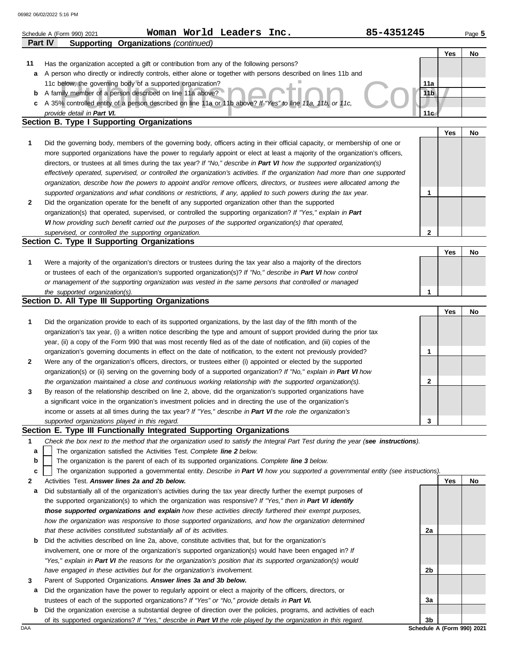|        | 85-4351245<br>Woman World Leaders Inc.<br>Schedule A (Form 990) 2021                                                                                                                                                                            |                        |     | Page 5 |
|--------|-------------------------------------------------------------------------------------------------------------------------------------------------------------------------------------------------------------------------------------------------|------------------------|-----|--------|
|        | <b>Supporting Organizations (continued)</b><br><b>Part IV</b>                                                                                                                                                                                   |                        |     |        |
|        |                                                                                                                                                                                                                                                 |                        | Yes | No     |
| 11     | Has the organization accepted a gift or contribution from any of the following persons?                                                                                                                                                         |                        |     |        |
| а      | A person who directly or indirectly controls, either alone or together with persons described on lines 11b and                                                                                                                                  |                        |     |        |
|        | 11c below, the governing body of a supported organization?<br>A family member of a person described on line 11a above?                                                                                                                          | 11a<br>11 <sub>b</sub> |     |        |
| b<br>c | A 35% controlled entity of a person described on line 11a or 11b above? If "Yes" to line 11a, 11b, or 11c,                                                                                                                                      |                        |     |        |
|        | provide detail in Part VI.                                                                                                                                                                                                                      | 11 <sub>G</sub>        |     |        |
|        | Section B. Type I Supporting Organizations                                                                                                                                                                                                      |                        |     |        |
|        |                                                                                                                                                                                                                                                 |                        | Yes | No     |
| 1      | Did the governing body, members of the governing body, officers acting in their official capacity, or membership of one or                                                                                                                      |                        |     |        |
|        | more supported organizations have the power to regularly appoint or elect at least a majority of the organization's officers,                                                                                                                   |                        |     |        |
|        | directors, or trustees at all times during the tax year? If "No," describe in Part VI how the supported organization(s)                                                                                                                         |                        |     |        |
|        | effectively operated, supervised, or controlled the organization's activities. If the organization had more than one supported                                                                                                                  |                        |     |        |
|        | organization, describe how the powers to appoint and/or remove officers, directors, or trustees were allocated among the                                                                                                                        |                        |     |        |
|        | supported organizations and what conditions or restrictions, if any, applied to such powers during the tax year.                                                                                                                                | 1                      |     |        |
| 2      | Did the organization operate for the benefit of any supported organization other than the supported<br>organization(s) that operated, supervised, or controlled the supporting organization? If "Yes," explain in Part                          |                        |     |        |
|        | VI how providing such benefit carried out the purposes of the supported organization(s) that operated,                                                                                                                                          |                        |     |        |
|        | supervised, or controlled the supporting organization.                                                                                                                                                                                          | $\mathbf{2}$           |     |        |
|        | Section C. Type II Supporting Organizations                                                                                                                                                                                                     |                        |     |        |
|        |                                                                                                                                                                                                                                                 |                        | Yes | No     |
| 1      | Were a majority of the organization's directors or trustees during the tax year also a majority of the directors                                                                                                                                |                        |     |        |
|        | or trustees of each of the organization's supported organization(s)? If "No," describe in Part VI how control                                                                                                                                   |                        |     |        |
|        | or management of the supporting organization was vested in the same persons that controlled or managed                                                                                                                                          |                        |     |        |
|        | the supported organization(s).                                                                                                                                                                                                                  | 1                      |     |        |
|        | Section D. All Type III Supporting Organizations                                                                                                                                                                                                |                        |     |        |
|        |                                                                                                                                                                                                                                                 |                        | Yes | No     |
| 1      | Did the organization provide to each of its supported organizations, by the last day of the fifth month of the                                                                                                                                  |                        |     |        |
|        | organization's tax year, (i) a written notice describing the type and amount of support provided during the prior tax<br>year, (ii) a copy of the Form 990 that was most recently filed as of the date of notification, and (iii) copies of the |                        |     |        |
|        | organization's governing documents in effect on the date of notification, to the extent not previously provided?                                                                                                                                | 1                      |     |        |
| 2      | Were any of the organization's officers, directors, or trustees either (i) appointed or elected by the supported                                                                                                                                |                        |     |        |
|        | organization(s) or (ii) serving on the governing body of a supported organization? If "No," explain in Part VI how                                                                                                                              |                        |     |        |
|        | the organization maintained a close and continuous working relationship with the supported organization(s).                                                                                                                                     | 2                      |     |        |
|        | By reason of the relationship described on line 2, above, did the organization's supported organizations have                                                                                                                                   |                        |     |        |
|        | a significant voice in the organization's investment policies and in directing the use of the organization's                                                                                                                                    |                        |     |        |
|        | income or assets at all times during the tax year? If "Yes," describe in Part VI the role the organization's                                                                                                                                    |                        |     |        |
|        | supported organizations played in this regard.                                                                                                                                                                                                  | 3                      |     |        |
|        | Section E. Type III Functionally Integrated Supporting Organizations                                                                                                                                                                            |                        |     |        |
| 1      | Check the box next to the method that the organization used to satisfy the Integral Part Test during the year (see instructions).                                                                                                               |                        |     |        |
| а      | The organization satisfied the Activities Test. Complete line 2 below.                                                                                                                                                                          |                        |     |        |
| b<br>c | The organization is the parent of each of its supported organizations. Complete line 3 below.<br>The organization supported a governmental entity. Describe in Part VI how you supported a governmental entity (see instructions).              |                        |     |        |
| 2      | Activities Test. Answer lines 2a and 2b below.                                                                                                                                                                                                  |                        | Yes | No     |
| а      | Did substantially all of the organization's activities during the tax year directly further the exempt purposes of                                                                                                                              |                        |     |        |
|        | the supported organization(s) to which the organization was responsive? If "Yes," then in Part VI identify                                                                                                                                      |                        |     |        |
|        | those supported organizations and explain how these activities directly furthered their exempt purposes,                                                                                                                                        |                        |     |        |
|        | how the organization was responsive to those supported organizations, and how the organization determined                                                                                                                                       |                        |     |        |
|        | that these activities constituted substantially all of its activities.                                                                                                                                                                          | 2a                     |     |        |
| b      | Did the activities described on line 2a, above, constitute activities that, but for the organization's                                                                                                                                          |                        |     |        |
|        | involvement, one or more of the organization's supported organization(s) would have been engaged in? If                                                                                                                                         |                        |     |        |
|        | "Yes," explain in Part VI the reasons for the organization's position that its supported organization(s) would                                                                                                                                  |                        |     |        |
|        | have engaged in these activities but for the organization's involvement.                                                                                                                                                                        | 2b                     |     |        |
| 3      | Parent of Supported Organizations. Answer lines 3a and 3b below.                                                                                                                                                                                |                        |     |        |
| а      | Did the organization have the power to regularly appoint or elect a majority of the officers, directors, or                                                                                                                                     |                        |     |        |
|        | trustees of each of the supported organizations? If "Yes" or "No," provide details in Part VI.<br>Did the organization exercise a substantial degree of direction over the policies, programs, and activities of each                           | За                     |     |        |
| b      | of its supported organizations? If "Yes," describe in Part VI the role played by the organization in this regard.                                                                                                                               | 3b                     |     |        |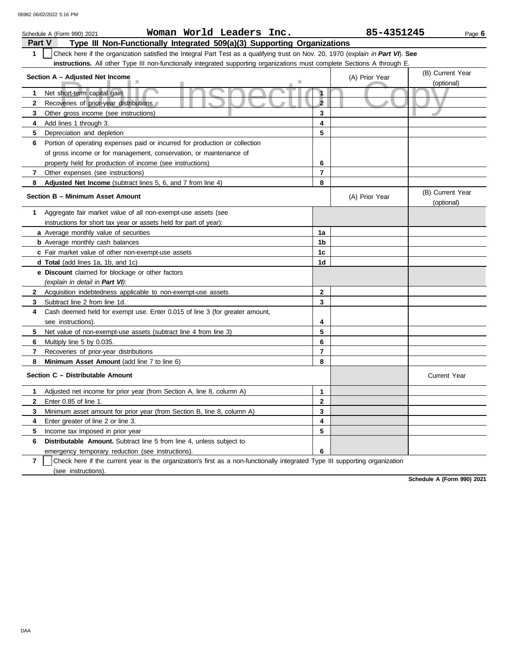|                | Woman World Leaders Inc.<br>Schedule A (Form 990) 2021                                                                           |                | 85-4351245     | Page 6                         |  |  |  |  |  |
|----------------|----------------------------------------------------------------------------------------------------------------------------------|----------------|----------------|--------------------------------|--|--|--|--|--|
| Part V         | Type III Non-Functionally Integrated 509(a)(3) Supporting Organizations                                                          |                |                |                                |  |  |  |  |  |
| 1              | Check here if the organization satisfied the Integral Part Test as a qualifying trust on Nov. 20, 1970 (explain in Part VI). See |                |                |                                |  |  |  |  |  |
|                | instructions. All other Type III non-functionally integrated supporting organizations must complete Sections A through E.        |                |                |                                |  |  |  |  |  |
|                | Section A - Adjusted Net Income                                                                                                  |                | (A) Prior Year | (B) Current Year               |  |  |  |  |  |
|                |                                                                                                                                  |                |                | (optional)                     |  |  |  |  |  |
| 1              | $\mathbf{1}$<br>Net short-term capital gain                                                                                      |                |                |                                |  |  |  |  |  |
| 2              | Recoveries of prior-year distributions                                                                                           | $\overline{2}$ |                |                                |  |  |  |  |  |
| 3              | Other gross income (see instructions)                                                                                            | 3              |                |                                |  |  |  |  |  |
| 4              | Add lines 1 through 3.                                                                                                           | 4              |                |                                |  |  |  |  |  |
| 5              | Depreciation and depletion                                                                                                       | 5              |                |                                |  |  |  |  |  |
| 6              | Portion of operating expenses paid or incurred for production or collection                                                      |                |                |                                |  |  |  |  |  |
|                | of gross income or for management, conservation, or maintenance of                                                               |                |                |                                |  |  |  |  |  |
|                | property held for production of income (see instructions)                                                                        | 6              |                |                                |  |  |  |  |  |
| 7              | Other expenses (see instructions)                                                                                                | 7              |                |                                |  |  |  |  |  |
| 8              | <b>Adjusted Net Income</b> (subtract lines 5, 6, and 7 from line 4)                                                              | 8              |                |                                |  |  |  |  |  |
|                | Section B - Minimum Asset Amount                                                                                                 |                | (A) Prior Year | (B) Current Year<br>(optional) |  |  |  |  |  |
| 1              | Aggregate fair market value of all non-exempt-use assets (see                                                                    |                |                |                                |  |  |  |  |  |
|                | instructions for short tax year or assets held for part of year):                                                                |                |                |                                |  |  |  |  |  |
|                | a Average monthly value of securities                                                                                            | 1a             |                |                                |  |  |  |  |  |
|                | <b>b</b> Average monthly cash balances                                                                                           | 1b             |                |                                |  |  |  |  |  |
|                | c Fair market value of other non-exempt-use assets                                                                               | 1c             |                |                                |  |  |  |  |  |
|                | <b>d Total</b> (add lines 1a, 1b, and 1c)                                                                                        | 1d             |                |                                |  |  |  |  |  |
|                | <b>e Discount</b> claimed for blockage or other factors                                                                          |                |                |                                |  |  |  |  |  |
|                | (explain in detail in Part VI):                                                                                                  |                |                |                                |  |  |  |  |  |
| 2              | Acquisition indebtedness applicable to non-exempt-use assets                                                                     | $\mathbf{2}$   |                |                                |  |  |  |  |  |
| 3              | Subtract line 2 from line 1d.                                                                                                    | 3              |                |                                |  |  |  |  |  |
| 4              | Cash deemed held for exempt use. Enter 0.015 of line 3 (for greater amount,                                                      |                |                |                                |  |  |  |  |  |
|                | see instructions)                                                                                                                | 4              |                |                                |  |  |  |  |  |
| 5              | Net value of non-exempt-use assets (subtract line 4 from line 3)                                                                 | 5              |                |                                |  |  |  |  |  |
| 6              | Multiply line 5 by 0.035.                                                                                                        | 6              |                |                                |  |  |  |  |  |
| 7              | Recoveries of prior-year distributions                                                                                           | $\overline{7}$ |                |                                |  |  |  |  |  |
| 8              | <b>Minimum Asset Amount</b> (add line 7 to line 6)                                                                               | 8              |                |                                |  |  |  |  |  |
|                | Section C - Distributable Amount                                                                                                 |                |                | <b>Current Year</b>            |  |  |  |  |  |
| 1.             | Adjusted net income for prior year (from Section A, line 8, column A)                                                            | $\mathbf{1}$   |                |                                |  |  |  |  |  |
| 2              | Enter 0.85 of line 1.                                                                                                            | $\mathbf{2}$   |                |                                |  |  |  |  |  |
| 3              | Minimum asset amount for prior year (from Section B, line 8, column A)                                                           | 3              |                |                                |  |  |  |  |  |
| 4              | Enter greater of line 2 or line 3.                                                                                               | 4              |                |                                |  |  |  |  |  |
| 5              | Income tax imposed in prior year                                                                                                 | 5              |                |                                |  |  |  |  |  |
| 6              | Distributable Amount. Subtract line 5 from line 4, unless subject to                                                             |                |                |                                |  |  |  |  |  |
|                | emergency temporary reduction (see instructions).                                                                                | 6              |                |                                |  |  |  |  |  |
| $\overline{7}$ | Check here if the current year is the organization's first as a non-functionally integrated Type III supporting organization     |                |                |                                |  |  |  |  |  |

(see instructions).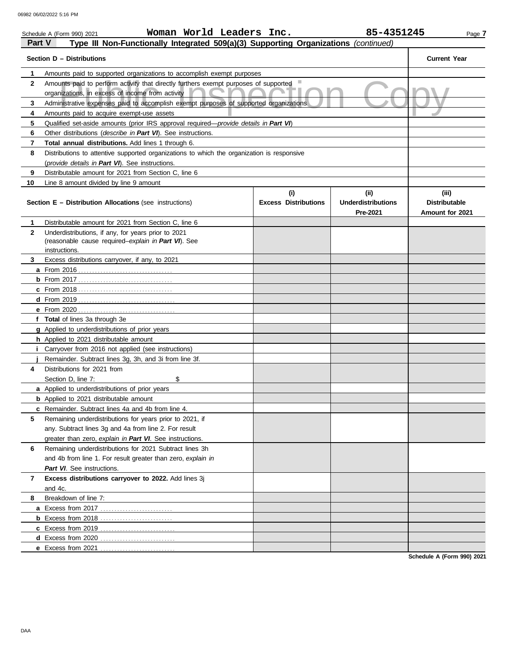|              | Woman World Leaders Inc.<br>Schedule A (Form 990) 2021                                                                                   |                                    | 85-4351245                                    | Page 7                                           |
|--------------|------------------------------------------------------------------------------------------------------------------------------------------|------------------------------------|-----------------------------------------------|--------------------------------------------------|
| Part V       | Type III Non-Functionally Integrated 509(a)(3) Supporting Organizations (continued)                                                      |                                    |                                               |                                                  |
|              | Section D - Distributions                                                                                                                |                                    |                                               | <b>Current Year</b>                              |
| 1            | Amounts paid to supported organizations to accomplish exempt purposes                                                                    |                                    |                                               |                                                  |
| $\mathbf{2}$ | Amounts paid to perform activity that directly furthers exempt purposes of supported<br>organizations, in excess of income from activity |                                    |                                               |                                                  |
| 3            | Administrative expenses paid to accomplish exempt purposes of supported organizations                                                    |                                    |                                               |                                                  |
| 4            | Amounts paid to acquire exempt-use assets                                                                                                |                                    |                                               |                                                  |
| 5            | Qualified set-aside amounts (prior IRS approval required-provide details in Part VI)                                                     |                                    |                                               |                                                  |
| 6            | Other distributions (describe in Part VI). See instructions.                                                                             |                                    |                                               |                                                  |
| 7            | Total annual distributions. Add lines 1 through 6.                                                                                       |                                    |                                               |                                                  |
| 8            | Distributions to attentive supported organizations to which the organization is responsive                                               |                                    |                                               |                                                  |
|              | (provide details in Part VI). See instructions.                                                                                          |                                    |                                               |                                                  |
| 9            | Distributable amount for 2021 from Section C, line 6                                                                                     |                                    |                                               |                                                  |
| 10           | Line 8 amount divided by line 9 amount                                                                                                   |                                    |                                               |                                                  |
|              | <b>Section E - Distribution Allocations (see instructions)</b>                                                                           | (i)<br><b>Excess Distributions</b> | (ii)<br><b>Underdistributions</b><br>Pre-2021 | (iii)<br><b>Distributable</b><br>Amount for 2021 |
| 1            | Distributable amount for 2021 from Section C, line 6                                                                                     |                                    |                                               |                                                  |
| $\mathbf{2}$ | Underdistributions, if any, for years prior to 2021<br>(reasonable cause required-explain in Part VI). See                               |                                    |                                               |                                                  |
| 3            | instructions.<br>Excess distributions carryover, if any, to 2021                                                                         |                                    |                                               |                                                  |
|              |                                                                                                                                          |                                    |                                               |                                                  |
|              |                                                                                                                                          |                                    |                                               |                                                  |
|              |                                                                                                                                          |                                    |                                               |                                                  |
|              |                                                                                                                                          |                                    |                                               |                                                  |
|              |                                                                                                                                          |                                    |                                               |                                                  |
|              | f Total of lines 3a through 3e                                                                                                           |                                    |                                               |                                                  |
|              | g Applied to underdistributions of prior years                                                                                           |                                    |                                               |                                                  |
|              | h Applied to 2021 distributable amount                                                                                                   |                                    |                                               |                                                  |
| ı.           | Carryover from 2016 not applied (see instructions)                                                                                       |                                    |                                               |                                                  |
|              | Remainder. Subtract lines 3g, 3h, and 3i from line 3f.                                                                                   |                                    |                                               |                                                  |
| 4            | Distributions for 2021 from                                                                                                              |                                    |                                               |                                                  |
|              | Section D. line 7:<br>\$                                                                                                                 |                                    |                                               |                                                  |
|              | a Applied to underdistributions of prior years                                                                                           |                                    |                                               |                                                  |
|              | <b>b</b> Applied to 2021 distributable amount                                                                                            |                                    |                                               |                                                  |
|              | c Remainder. Subtract lines 4a and 4b from line 4.                                                                                       |                                    |                                               |                                                  |
| 5            | Remaining underdistributions for years prior to 2021, if                                                                                 |                                    |                                               |                                                  |
|              | any. Subtract lines 3g and 4a from line 2. For result                                                                                    |                                    |                                               |                                                  |
|              | greater than zero, explain in Part VI. See instructions.                                                                                 |                                    |                                               |                                                  |
| 6            | Remaining underdistributions for 2021 Subtract lines 3h                                                                                  |                                    |                                               |                                                  |
|              | and 4b from line 1. For result greater than zero, explain in                                                                             |                                    |                                               |                                                  |
|              | Part VI. See instructions.                                                                                                               |                                    |                                               |                                                  |
| 7            | Excess distributions carryover to 2022. Add lines 3j                                                                                     |                                    |                                               |                                                  |
|              | and 4c.                                                                                                                                  |                                    |                                               |                                                  |
| 8            | Breakdown of line 7:                                                                                                                     |                                    |                                               |                                                  |
|              |                                                                                                                                          |                                    |                                               |                                                  |
|              | <b>b</b> Excess from 2018                                                                                                                |                                    |                                               |                                                  |
|              |                                                                                                                                          |                                    |                                               |                                                  |
|              |                                                                                                                                          |                                    |                                               |                                                  |
|              | e Excess from 2021                                                                                                                       |                                    |                                               |                                                  |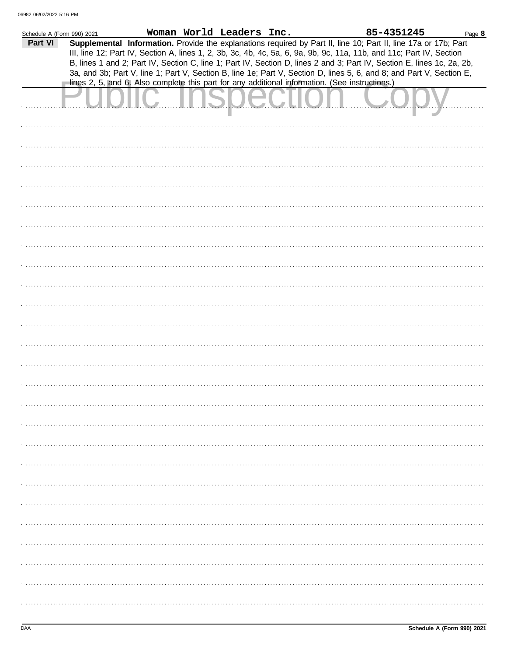| Schedule A (Form 990) 2021 |  | Woman World Leaders Inc. |                                                                                                | 85-4351245                                                                                                                                                                                                                                     | Page 8 |
|----------------------------|--|--------------------------|------------------------------------------------------------------------------------------------|------------------------------------------------------------------------------------------------------------------------------------------------------------------------------------------------------------------------------------------------|--------|
| Part VI                    |  |                          |                                                                                                | Supplemental Information. Provide the explanations required by Part II, line 10; Part II, line 17a or 17b; Part                                                                                                                                |        |
|                            |  |                          |                                                                                                | III, line 12; Part IV, Section A, lines 1, 2, 3b, 3c, 4b, 4c, 5a, 6, 9a, 9b, 9c, 11a, 11b, and 11c; Part IV, Section<br>B, lines 1 and 2; Part IV, Section C, line 1; Part IV, Section D, lines 2 and 3; Part IV, Section E, lines 1c, 2a, 2b, |        |
|                            |  |                          |                                                                                                | 3a, and 3b; Part V, line 1; Part V, Section B, line 1e; Part V, Section D, lines 5, 6, and 8; and Part V, Section E,                                                                                                                           |        |
|                            |  |                          | lines 2, 5, and 6. Also complete this part for any additional information. (See instructions.) |                                                                                                                                                                                                                                                |        |
|                            |  |                          |                                                                                                |                                                                                                                                                                                                                                                |        |
|                            |  |                          |                                                                                                |                                                                                                                                                                                                                                                |        |
|                            |  |                          |                                                                                                |                                                                                                                                                                                                                                                |        |
|                            |  |                          |                                                                                                |                                                                                                                                                                                                                                                |        |
|                            |  |                          |                                                                                                |                                                                                                                                                                                                                                                |        |
|                            |  |                          |                                                                                                |                                                                                                                                                                                                                                                |        |
|                            |  |                          |                                                                                                |                                                                                                                                                                                                                                                |        |
|                            |  |                          |                                                                                                |                                                                                                                                                                                                                                                |        |
|                            |  |                          |                                                                                                |                                                                                                                                                                                                                                                |        |
|                            |  |                          |                                                                                                |                                                                                                                                                                                                                                                |        |
|                            |  |                          |                                                                                                |                                                                                                                                                                                                                                                |        |
|                            |  |                          |                                                                                                |                                                                                                                                                                                                                                                |        |
|                            |  |                          |                                                                                                |                                                                                                                                                                                                                                                |        |
|                            |  |                          |                                                                                                |                                                                                                                                                                                                                                                |        |
|                            |  |                          |                                                                                                |                                                                                                                                                                                                                                                |        |
|                            |  |                          |                                                                                                |                                                                                                                                                                                                                                                |        |
|                            |  |                          |                                                                                                |                                                                                                                                                                                                                                                |        |
|                            |  |                          |                                                                                                |                                                                                                                                                                                                                                                |        |
|                            |  |                          |                                                                                                |                                                                                                                                                                                                                                                |        |
|                            |  |                          |                                                                                                |                                                                                                                                                                                                                                                |        |
|                            |  |                          |                                                                                                |                                                                                                                                                                                                                                                |        |
|                            |  |                          |                                                                                                |                                                                                                                                                                                                                                                |        |
|                            |  |                          |                                                                                                |                                                                                                                                                                                                                                                |        |
|                            |  |                          |                                                                                                |                                                                                                                                                                                                                                                |        |
|                            |  |                          |                                                                                                |                                                                                                                                                                                                                                                |        |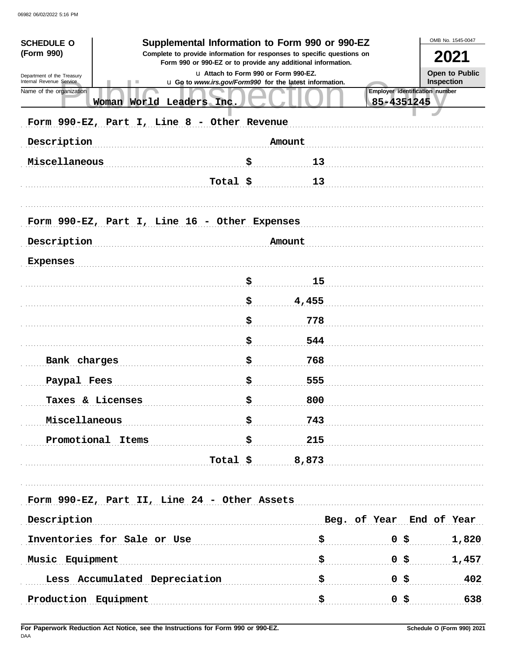| <b>SCHEDULE O</b>                                      |                                               | Supplemental Information to Form 990 or 990-EZ                                                                                         |       | OMB No. 1545-0047                            |                          |  |  |  |  |  |
|--------------------------------------------------------|-----------------------------------------------|----------------------------------------------------------------------------------------------------------------------------------------|-------|----------------------------------------------|--------------------------|--|--|--|--|--|
| (Form 990)                                             |                                               | Complete to provide information for responses to specific questions on<br>Form 990 or 990-EZ or to provide any additional information. |       | 2021                                         |                          |  |  |  |  |  |
| Department of the Treasury<br>Internal Revenue Service |                                               | La Attach to Form 990 or Form 990-EZ.<br>u Go to www.irs.gov/Form990 for the latest information.                                       |       | Open to Public<br>Inspection                 |                          |  |  |  |  |  |
| Name of the organization                               | Woman World Leaders Inc.                      |                                                                                                                                        |       | Employer identification number<br>85-4351245 |                          |  |  |  |  |  |
| Form 990-EZ, Part I, Line 8 - Other Revenue            |                                               |                                                                                                                                        |       |                                              |                          |  |  |  |  |  |
| Description<br>Amount                                  |                                               |                                                                                                                                        |       |                                              |                          |  |  |  |  |  |
| Miscellaneous                                          |                                               | \$                                                                                                                                     | 13    |                                              |                          |  |  |  |  |  |
|                                                        |                                               | Total \$                                                                                                                               | 13    |                                              |                          |  |  |  |  |  |
|                                                        | Form 990-EZ, Part I, Line 16 - Other Expenses |                                                                                                                                        |       |                                              |                          |  |  |  |  |  |
| Description<br>Amount                                  |                                               |                                                                                                                                        |       |                                              |                          |  |  |  |  |  |
| <b>Expenses</b>                                        |                                               |                                                                                                                                        |       |                                              |                          |  |  |  |  |  |
|                                                        |                                               | \$                                                                                                                                     | 15    |                                              |                          |  |  |  |  |  |
|                                                        |                                               | \$                                                                                                                                     | 4,455 |                                              |                          |  |  |  |  |  |
|                                                        |                                               | \$                                                                                                                                     | 778   |                                              |                          |  |  |  |  |  |
|                                                        |                                               | \$                                                                                                                                     | 544   |                                              |                          |  |  |  |  |  |
| Bank charges                                           |                                               | \$                                                                                                                                     | 768   |                                              |                          |  |  |  |  |  |
| Paypal Fees                                            |                                               | \$                                                                                                                                     | 555   |                                              |                          |  |  |  |  |  |
| Taxes & Licenses                                       |                                               | \$                                                                                                                                     | 800   |                                              |                          |  |  |  |  |  |
| Miscellaneous                                          |                                               | \$.                                                                                                                                    | 743   |                                              |                          |  |  |  |  |  |
|                                                        | Promotional Items                             | <b>字</b>                                                                                                                               | 215   |                                              |                          |  |  |  |  |  |
|                                                        |                                               | Total $\approx$ 8,873                                                                                                                  |       |                                              |                          |  |  |  |  |  |
| Form 990-EZ, Part II, Line 24 - Other Assets           |                                               |                                                                                                                                        |       |                                              |                          |  |  |  |  |  |
| Description                                            |                                               |                                                                                                                                        |       |                                              | Beg. of Year End of Year |  |  |  |  |  |
|                                                        | Inventories for Sale or Use                   |                                                                                                                                        | \$    | $0$ \$                                       | 1,820                    |  |  |  |  |  |
| Music Equipment                                        |                                               |                                                                                                                                        | \$    | $0 \,$ \$                                    | 1,457                    |  |  |  |  |  |
| Less Accumulated Depreciation                          |                                               |                                                                                                                                        | \$    | 0 \$                                         | 402                      |  |  |  |  |  |
| Production Equipment                                   |                                               |                                                                                                                                        | \$    | $0,$ \$                                      | 638                      |  |  |  |  |  |